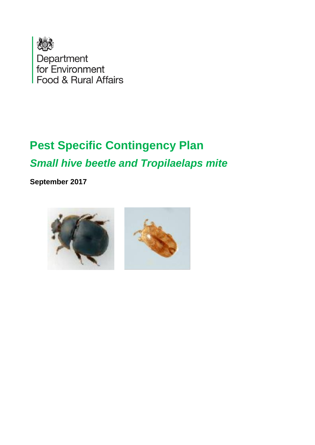

Department<br>for Environment Food & Rural Affairs

# **Pest Specific Contingency Plan** *Small hive beetle and Tropilaelaps mite*

**September 2017**

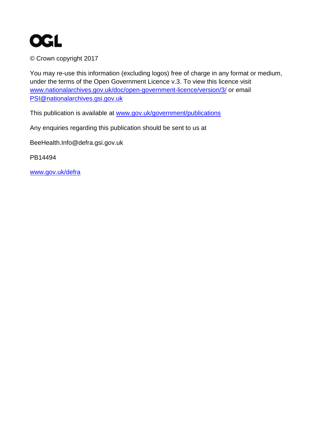

© Crown copyright 2017

You may re-use this information (excluding logos) free of charge in any format or medium, under the terms of the Open Government Licence v.3. To view this licence visit [www.nationalarchives.gov.uk/doc/open-government-licence/version/3/](http://www.nationalarchives.gov.uk/doc/open-government-licence/version/3/) or email [PSI@nationalarchives.gsi.gov.uk](mailto:PSI@nationalarchives.gsi.gov.uk) 

This publication is available at [www.gov.uk/government/publications](http://www.gov.uk/government/publications) 

Any enquiries regarding this publication should be sent to us at

BeeHealth.Info@defra.gsi.gov.uk

PB14494

[www.gov.uk/defra](http://www.gov.uk/defra)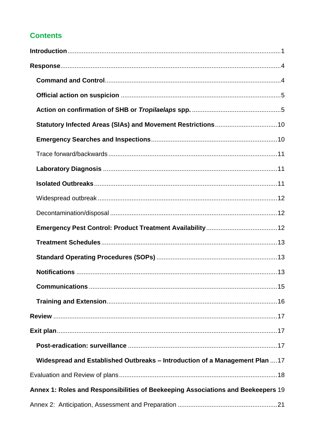## **Contents**

| Widespread and Established Outbreaks - Introduction of a Management Plan 17      |  |
|----------------------------------------------------------------------------------|--|
|                                                                                  |  |
| Annex 1: Roles and Responsibilities of Beekeeping Associations and Beekeepers 19 |  |
|                                                                                  |  |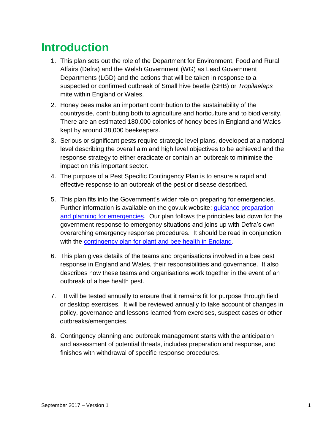# <span id="page-4-0"></span>**Introduction**

- 1. This plan sets out the role of the Department for Environment, Food and Rural Affairs (Defra) and the Welsh Government (WG) as Lead Government Departments (LGD) and the actions that will be taken in response to a suspected or confirmed outbreak of Small hive beetle (SHB) or *Tropilaelaps*  mite within England or Wales.
- 2. Honey bees make an important contribution to the sustainability of the countryside, contributing both to agriculture and horticulture and to biodiversity. There are an estimated 180,000 colonies of honey bees in England and Wales kept by around 38,000 beekeepers.
- 3. Serious or significant pests require strategic level plans, developed at a national level describing the overall aim and high level objectives to be achieved and the response strategy to either eradicate or contain an outbreak to minimise the impact on this important sector.
- 4. The purpose of a Pest Specific Contingency Plan is to ensure a rapid and effective response to an outbreak of the pest or disease described.
- 5. This plan fits into the Government's wider role on preparing for emergencies. Further information is available on the gov.uk website: *guidance preparation* [and planning for emergencies.](https://www.gov.uk/guidance/preparation-and-planning-for-emergencies-responsibilities-of-responder-agencies-and-others) Our plan follows the principles laid down for the government response to emergency situations and joins up with Defra's own overarching emergency response procedures. It should be read in conjunction with the [contingency plan for plant and bee health in England.](https://www.gov.uk/government/publications/contingency-plan-for-plant-and-bee-health-in-england)
- 6. This plan gives details of the teams and organisations involved in a bee pest response in England and Wales, their responsibilities and governance. It also describes how these teams and organisations work together in the event of an outbreak of a bee health pest.
- 7. It will be tested annually to ensure that it remains fit for purpose through field or desktop exercises. It will be reviewed annually to take account of changes in policy, governance and lessons learned from exercises, suspect cases or other outbreaks/emergencies.
- 8. Contingency planning and outbreak management starts with the anticipation and assessment of potential threats, includes preparation and response, and finishes with withdrawal of specific response procedures.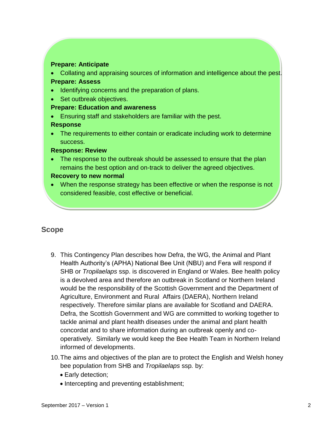#### **Prepare: Anticipate**

 Collating and appraising sources of information and intelligence about the pest. **Prepare: Assess**

- Identifying concerns and the preparation of plans.
- Set outbreak objectives.

#### **Prepare: Education and awareness**

Ensuring staff and stakeholders are familiar with the pest.

#### **Response**

• The requirements to either contain or eradicate including work to determine success.

#### **Response: Review**

• The response to the outbreak should be assessed to ensure that the plan remains the best option and on-track to deliver the agreed objectives.

#### **Recovery to new normal**

• When the response strategy has been effective or when the response is not considered feasible, cost effective or beneficial.

### **Scope**

- 9. This Contingency Plan describes how Defra, the WG, the Animal and Plant Health Authority's (APHA) National Bee Unit (NBU) and Fera will respond if SHB or *Tropilaelaps* ssp. is discovered in England or Wales. Bee health policy is a devolved area and therefore an outbreak in Scotland or Northern Ireland would be the responsibility of the Scottish Government and the Department of Agriculture, Environment and Rural Affairs (DAERA), Northern Ireland respectively. Therefore similar plans are available for Scotland and DAERA. Defra, the Scottish Government and WG are committed to working together to tackle animal and plant health diseases under the animal and plant health concordat and to share information during an outbreak openly and cooperatively. Similarly we would keep the Bee Health Team in Northern Ireland informed of developments.
- 10.The aims and objectives of the plan are to protect the English and Welsh honey bee population from SHB and *Tropilaelaps* ssp*.* by:
	- Early detection:
	- Intercepting and preventing establishment;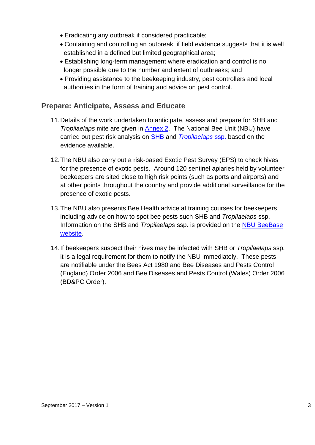- Eradicating any outbreak if considered practicable;
- Containing and controlling an outbreak, if field evidence suggests that it is well established in a defined but limited geographical area;
- Establishing long-term management where eradication and control is no longer possible due to the number and extent of outbreaks; and
- Providing assistance to the beekeeping industry, pest controllers and local authorities in the form of training and advice on pest control.

## **Prepare: Anticipate, Assess and Educate**

- 11.Details of the work undertaken to anticipate, assess and prepare for SHB and *Tropilaelaps* mite are given in [Annex 2.](#page-24-0) The National Bee Unit (NBU) have carried out pest risk analysis on [SHB](http://www.nationalbeeunit.com/downloadDocument.cfm?id=945) and *[Tropilaelaps](http://www.nationalbeeunit.com/downloadDocument.cfm?id=905)* ssp. based on the evidence available.
- 12.The NBU also carry out a risk-based Exotic Pest Survey (EPS) to check hives for the presence of exotic pests. Around 120 sentinel apiaries held by volunteer beekeepers are sited close to high risk points (such as ports and airports) and at other points throughout the country and provide additional surveillance for the presence of exotic pests.
- 13.The NBU also presents Bee Health advice at training courses for beekeepers including advice on how to spot bee pests such SHB and *Tropilaelaps* ssp. Information on the SHB and *Tropilaelaps* ssp. is provided on the [NBU BeeBase](http://www.nationalbeeunit.com/index.cfm?sectionId=24) [website.](http://www.nationalbeeunit.com/index.cfm?sectionId=24)
- 14.If beekeepers suspect their hives may be infected with SHB or *Tropilaelaps* ssp. it is a legal requirement for them to notify the NBU immediately. These pests are notifiable under the Bees Act 1980 and Bee Diseases and Pests Control (England) Order 2006 and Bee Diseases and Pests Control (Wales) Order 2006 (BD&PC Order).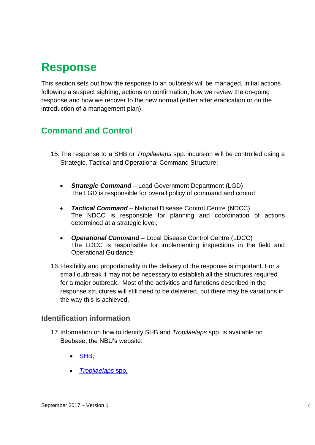# <span id="page-7-0"></span>**Response**

This section sets out how the response to an outbreak will be managed, initial actions following a suspect sighting, actions on confirmation, how we review the on-going response and how we recover to the new normal (either after eradication or on the introduction of a management plan).

## <span id="page-7-1"></span>**Command and Control**

- 15.The response to a SHB or *Tropilaelaps* spp. incursion will be controlled using a Strategic, Tactical and Operational Command Structure:
	- *Strategic Command* Lead Government Department (LGD) The LGD is responsible for overall policy of command and control;
	- *Tactical Command* National Disease Control Centre (NDCC) The NDCC is responsible for planning and coordination of actions determined at a strategic level;
	- *Operational Command* Local Disease Control Centre (LDCC) The LDCC is responsible for implementing inspections in the field and Operational Guidance.
- 16.Flexibility and proportionality in the delivery of the response is important. For a small outbreak it may not be necessary to establish all the structures required for a major outbreak. Most of the activities and functions described in the response structures will still need to be delivered, but there may be variations in the way this is achieved.

### **Identification information**

- 17.Information on how to identify SHB and *Tropilaelaps* spp. is available on Beebase, the NBU's website:
	- [SHB;](http://www.nationalbeeunit.com/index.cfm?pageid=125)
	- *[Tropilaelaps](http://www.nationalbeeunit.com/index.cfm?pageid=92)* spp*.*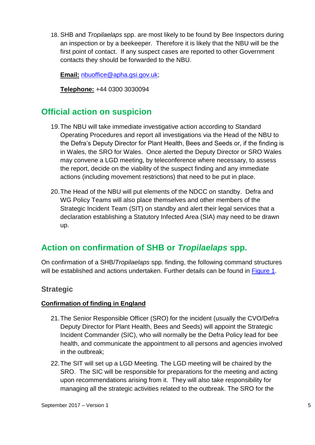18. SHB and *Tropilaelaps* spp. are most likely to be found by Bee Inspectors during an inspection or by a beekeeper. Therefore it is likely that the NBU will be the first point of contact. If any suspect cases are reported to other Government contacts they should be forwarded to the NBU.

**Email:** [nbuoffice@apha.gsi.gov.uk;](mailto:nbuoffice@apha.gsi.gov.uk)

**Telephone:** +44 0300 3030094

## <span id="page-8-0"></span>**Official action on suspicion**

- 19.The NBU will take immediate investigative action according to Standard Operating Procedures and report all investigations via the Head of the NBU to the Defra's Deputy Director for Plant Health, Bees and Seeds or, if the finding is in Wales, the SRO for Wales. Once alerted the Deputy Director or SRO Wales may convene a LGD meeting, by teleconference where necessary, to assess the report, decide on the viability of the suspect finding and any immediate actions (including movement restrictions) that need to be put in place.
- 20.The Head of the NBU will put elements of the NDCC on standby. Defra and WG Policy Teams will also place themselves and other members of the Strategic Incident Team (SIT) on standby and alert their legal services that a declaration establishing a Statutory Infected Area (SIA) may need to be drawn up.

## <span id="page-8-1"></span>**Action on confirmation of SHB or** *Tropilaelaps* **spp.**

On confirmation of a SHB/*Tropilaelaps* spp. finding, the following command structures will be established and actions undertaken. Further details can be found in [Figure 1.](#page-17-0)

### **Strategic**

#### **Confirmation of finding in England**

- 21.The Senior Responsible Officer (SRO) for the incident (usually the CVO/Defra Deputy Director for Plant Health, Bees and Seeds) will appoint the Strategic Incident Commander (SIC), who will normally be the Defra Policy lead for bee health, and communicate the appointment to all persons and agencies involved in the outbreak;
- 22.The SIT will set up a LGD Meeting. The LGD meeting will be chaired by the SRO. The SIC will be responsible for preparations for the meeting and acting upon recommendations arising from it. They will also take responsibility for managing all the strategic activities related to the outbreak. The SRO for the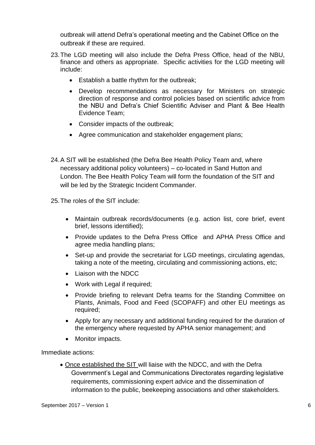outbreak will attend Defra's operational meeting and the Cabinet Office on the outbreak if these are required.

- 23.The LGD meeting will also include the Defra Press Office, head of the NBU, finance and others as appropriate. Specific activities for the LGD meeting will include:
	- Establish a battle rhythm for the outbreak;
	- Develop recommendations as necessary for Ministers on strategic direction of response and control policies based on scientific advice from the NBU and Defra's Chief Scientific Adviser and Plant & Bee Health Evidence Team;
	- Consider impacts of the outbreak;
	- Agree communication and stakeholder engagement plans;
- 24.A SIT will be established (the Defra Bee Health Policy Team and, where necessary additional policy volunteers) – co-located in Sand Hutton and London. The Bee Health Policy Team will form the foundation of the SIT and will be led by the Strategic Incident Commander.

25.The roles of the SIT include:

- Maintain outbreak records/documents (e.g. action list, core brief, event brief, lessons identified);
- Provide updates to the Defra Press Office and APHA Press Office and agree media handling plans;
- Set-up and provide the secretariat for LGD meetings, circulating agendas, taking a note of the meeting, circulating and commissioning actions, etc;
- Liaison with the NDCC
- Work with Legal if required;
- Provide briefing to relevant Defra teams for the Standing Committee on Plants, Animals, Food and Feed (SCOPAFF) and other EU meetings as required;
- Apply for any necessary and additional funding required for the duration of the emergency where requested by APHA senior management; and
- Monitor impacts.

Immediate actions:

 Once established the SIT will liaise with the NDCC, and with the Defra Government's Legal and Communications Directorates regarding legislative requirements, commissioning expert advice and the dissemination of information to the public, beekeeping associations and other stakeholders.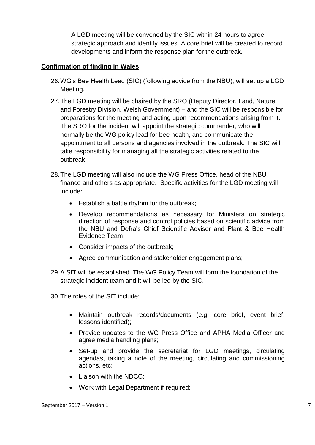A LGD meeting will be convened by the SIC within 24 hours to agree strategic approach and identify issues. A core brief will be created to record developments and inform the response plan for the outbreak.

#### **Confirmation of finding in Wales**

- 26.WG's Bee Health Lead (SIC) (following advice from the NBU), will set up a LGD Meeting.
- 27.The LGD meeting will be chaired by the SRO (Deputy Director, Land, Nature and Forestry Division, Welsh Government) – and the SIC will be responsible for preparations for the meeting and acting upon recommendations arising from it. The SRO for the incident will appoint the strategic commander, who will normally be the WG policy lead for bee health, and communicate the appointment to all persons and agencies involved in the outbreak. The SIC will take responsibility for managing all the strategic activities related to the outbreak.
- 28.The LGD meeting will also include the WG Press Office, head of the NBU, finance and others as appropriate. Specific activities for the LGD meeting will include:
	- **Establish a battle rhythm for the outbreak;**
	- Develop recommendations as necessary for Ministers on strategic direction of response and control policies based on scientific advice from the NBU and Defra's Chief Scientific Adviser and Plant & Bee Health Evidence Team;
	- Consider impacts of the outbreak;
	- Agree communication and stakeholder engagement plans;
- 29.A SIT will be established. The WG Policy Team will form the foundation of the strategic incident team and it will be led by the SIC.

30.The roles of the SIT include:

- Maintain outbreak records/documents (e.g. core brief, event brief, lessons identified);
- Provide updates to the WG Press Office and APHA Media Officer and agree media handling plans;
- Set-up and provide the secretariat for LGD meetings, circulating agendas, taking a note of the meeting, circulating and commissioning actions, etc;
- Liaison with the NDCC;
- Work with Legal Department if required;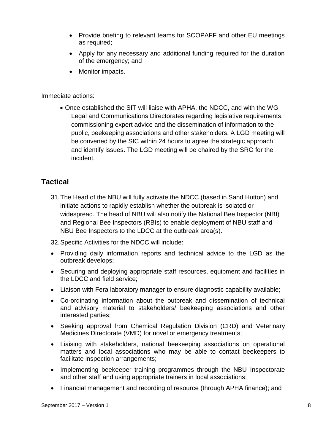- Provide briefing to relevant teams for SCOPAFF and other EU meetings as required;
- Apply for any necessary and additional funding required for the duration of the emergency; and
- Monitor impacts.

Immediate actions:

 Once established the SIT will liaise with APHA, the NDCC, and with the WG Legal and Communications Directorates regarding legislative requirements, commissioning expert advice and the dissemination of information to the public, beekeeping associations and other stakeholders. A LGD meeting will be convened by the SIC within 24 hours to agree the strategic approach and identify issues. The LGD meeting will be chaired by the SRO for the incident.

### **Tactical**

31.The Head of the NBU will fully activate the NDCC (based in Sand Hutton) and initiate actions to rapidly establish whether the outbreak is isolated or widespread. The head of NBU will also notify the National Bee Inspector (NBI) and Regional Bee Inspectors (RBIs) to enable deployment of NBU staff and NBU Bee Inspectors to the LDCC at the outbreak area(s).

32.Specific Activities for the NDCC will include:

- Providing daily information reports and technical advice to the LGD as the outbreak develops;
- Securing and deploying appropriate staff resources, equipment and facilities in the LDCC and field service;
- Liaison with Fera laboratory manager to ensure diagnostic capability available;
- Co-ordinating information about the outbreak and dissemination of technical and advisory material to stakeholders/ beekeeping associations and other interested parties;
- Seeking approval from Chemical Regulation Division (CRD) and Veterinary Medicines Directorate (VMD) for novel or emergency treatments;
- Liaising with stakeholders, national beekeeping associations on operational matters and local associations who may be able to contact beekeepers to facilitate inspection arrangements;
- Implementing beekeeper training programmes through the NBU Inspectorate and other staff and using appropriate trainers in local associations;
- Financial management and recording of resource (through APHA finance); and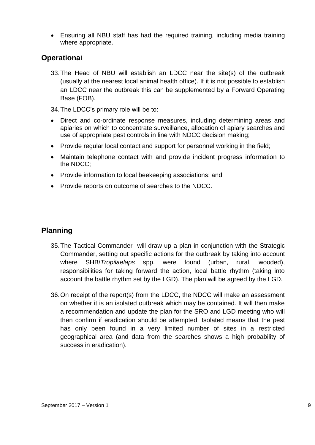Ensuring all NBU staff has had the required training, including media training where appropriate.

### **Operational**

- 33.The Head of NBU will establish an LDCC near the site(s) of the outbreak (usually at the nearest local animal health office). If it is not possible to establish an LDCC near the outbreak this can be supplemented by a Forward Operating Base (FOB).
- 34.The LDCC's primary role will be to:
- Direct and co-ordinate response measures, including determining areas and apiaries on which to concentrate surveillance, allocation of apiary searches and use of appropriate pest controls in line with NDCC decision making;
- Provide regular local contact and support for personnel working in the field;
- Maintain telephone contact with and provide incident progress information to the NDCC;
- Provide information to local beekeeping associations; and
- Provide reports on outcome of searches to the NDCC.

## **Planning**

- 35.The Tactical Commander will draw up a plan in conjunction with the Strategic Commander, setting out specific actions for the outbreak by taking into account where SHB/*Tropilaelaps* spp. were found (urban, rural, wooded), responsibilities for taking forward the action, local battle rhythm (taking into account the battle rhythm set by the LGD). The plan will be agreed by the LGD.
- 36.On receipt of the report(s) from the LDCC, the NDCC will make an assessment on whether it is an isolated outbreak which may be contained. It will then make a recommendation and update the plan for the SRO and LGD meeting who will then confirm if eradication should be attempted. Isolated means that the pest has only been found in a very limited number of sites in a restricted geographical area (and data from the searches shows a high probability of success in eradication).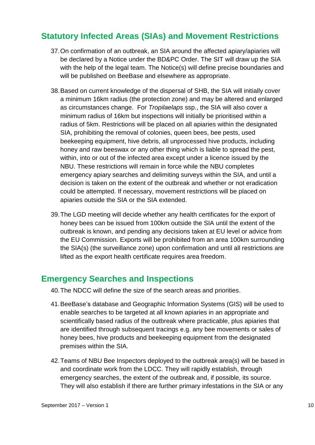## <span id="page-13-0"></span>**Statutory Infected Areas (SIAs) and Movement Restrictions**

- 37.On confirmation of an outbreak, an SIA around the affected apiary/apiaries will be declared by a Notice under the BD&PC Order. The SIT will draw up the SIA with the help of the legal team. The Notice(s) will define precise boundaries and will be published on BeeBase and elsewhere as appropriate.
- 38.Based on current knowledge of the dispersal of SHB, the SIA will initially cover a minimum 16km radius (the protection zone) and may be altered and enlarged as circumstances change. For *Tropilaelaps* ssp., the SIA will also cover a minimum radius of 16km but inspections will initially be prioritised within a radius of 5km. Restrictions will be placed on all apiaries within the designated SIA, prohibiting the removal of colonies, queen bees, bee pests, used beekeeping equipment, hive debris, all unprocessed hive products, including honey and raw beeswax or any other thing which is liable to spread the pest, within, into or out of the infected area except under a licence issued by the NBU. These restrictions will remain in force while the NBU completes emergency apiary searches and delimiting surveys within the SIA, and until a decision is taken on the extent of the outbreak and whether or not eradication could be attempted. If necessary, movement restrictions will be placed on apiaries outside the SIA or the SIA extended.
- 39.The LGD meeting will decide whether any health certificates for the export of honey bees can be issued from 100km outside the SIA until the extent of the outbreak is known, and pending any decisions taken at EU level or advice from the EU Commission. Exports will be prohibited from an area 100km surrounding the SIA(s) (the surveillance zone) upon confirmation and until all restrictions are lifted as the export health certificate requires area freedom.

## <span id="page-13-1"></span>**Emergency Searches and Inspections**

- 40.The NDCC will define the size of the search areas and priorities.
- 41.BeeBase's database and Geographic Information Systems (GIS) will be used to enable searches to be targeted at all known apiaries in an appropriate and scientifically based radius of the outbreak where practicable, plus apiaries that are identified through subsequent tracings e.g. any bee movements or sales of honey bees, hive products and beekeeping equipment from the designated premises within the SIA.
- 42.Teams of NBU Bee Inspectors deployed to the outbreak area(s) will be based in and coordinate work from the LDCC. They will rapidly establish, through emergency searches, the extent of the outbreak and, if possible, its source. They will also establish if there are further primary infestations in the SIA or any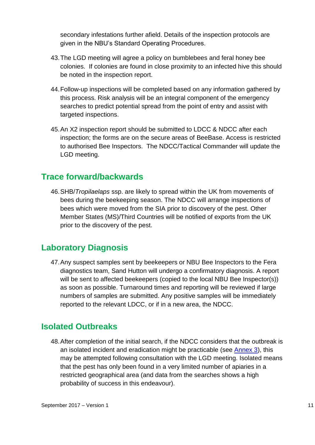secondary infestations further afield. Details of the inspection protocols are given in the NBU's Standard Operating Procedures.

- 43.The LGD meeting will agree a policy on bumblebees and feral honey bee colonies. If colonies are found in close proximity to an infected hive this should be noted in the inspection report.
- 44.Follow-up inspections will be completed based on any information gathered by this process. Risk analysis will be an integral component of the emergency searches to predict potential spread from the point of entry and assist with targeted inspections.
- 45.An X2 inspection report should be submitted to LDCC & NDCC after each inspection; the forms are on the secure areas of BeeBase. Access is restricted to authorised Bee Inspectors. The NDCC/Tactical Commander will update the LGD meeting.

## <span id="page-14-0"></span>**Trace forward/backwards**

46.SHB/*Tropilaelaps* ssp. are likely to spread within the UK from movements of bees during the beekeeping season. The NDCC will arrange inspections of bees which were moved from the SIA prior to discovery of the pest. Other Member States (MS)/Third Countries will be notified of exports from the UK prior to the discovery of the pest.

## <span id="page-14-1"></span>**Laboratory Diagnosis**

47.Any suspect samples sent by beekeepers or NBU Bee Inspectors to the Fera diagnostics team, Sand Hutton will undergo a confirmatory diagnosis. A report will be sent to affected beekeepers (copied to the local NBU Bee Inspector(s)) as soon as possible. Turnaround times and reporting will be reviewed if large numbers of samples are submitted. Any positive samples will be immediately reported to the relevant LDCC, or if in a new area, the NDCC.

## <span id="page-14-2"></span>**Isolated Outbreaks**

48.After completion of the initial search, if the NDCC considers that the outbreak is an isolated incident and eradication might be practicable (see [Annex 3\)](#page-26-0), this may be attempted following consultation with the LGD meeting. Isolated means that the pest has only been found in a very limited number of apiaries in a restricted geographical area (and data from the searches shows a high probability of success in this endeavour).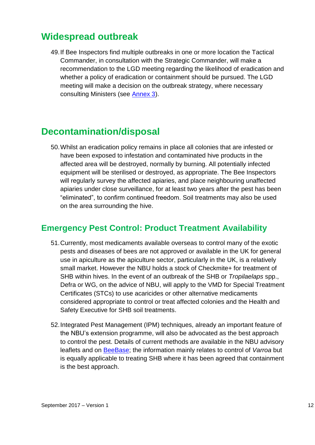# <span id="page-15-0"></span>**Widespread outbreak**

49.If Bee Inspectors find multiple outbreaks in one or more location the Tactical Commander, in consultation with the Strategic Commander, will make a recommendation to the LGD meeting regarding the likelihood of eradication and whether a policy of eradication or containment should be pursued. The LGD meeting will make a decision on the outbreak strategy, where necessary consulting Ministers (see [Annex 3\)](#page-26-0).

# <span id="page-15-1"></span>**Decontamination/disposal**

50.Whilst an eradication policy remains in place all colonies that are infested or have been exposed to infestation and contaminated hive products in the affected area will be destroyed, normally by burning. All potentially infected equipment will be sterilised or destroyed, as appropriate. The Bee Inspectors will regularly survey the affected apiaries, and place neighbouring unaffected apiaries under close surveillance, for at least two years after the pest has been "eliminated", to confirm continued freedom. Soil treatments may also be used on the area surrounding the hive.

## <span id="page-15-2"></span>**Emergency Pest Control: Product Treatment Availability**

- 51.Currently, most medicaments available overseas to control many of the exotic pests and diseases of bees are not approved or available in the UK for general use in apiculture as the apiculture sector, particularly in the UK, is a relatively small market. However the NBU holds a stock of Checkmite+ for treatment of SHB within hives. In the event of an outbreak of the SHB or *Tropilaelaps* spp., Defra or WG, on the advice of NBU, will apply to the VMD for Special Treatment Certificates (STCs) to use acaricides or other alternative medicaments considered appropriate to control or treat affected colonies and the Health and Safety Executive for SHB soil treatments.
- 52.Integrated Pest Management (IPM) techniques, already an important feature of the NBU's extension programme, will also be advocated as the best approach to control the pest. Details of current methods are available in the NBU advisory leaflets and on [BeeBase;](http://www.nationalbeeunit.com/index.cfm?pageId=167) the information mainly relates to control of *Varroa* but is equally applicable to treating SHB where it has been agreed that containment is the best approach.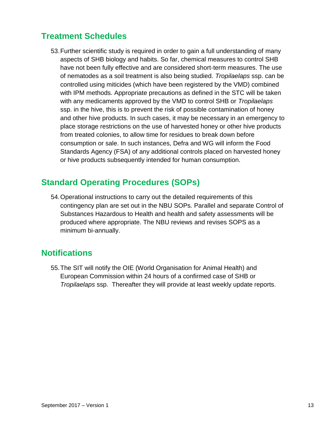## <span id="page-16-0"></span>**Treatment Schedules**

53.Further scientific study is required in order to gain a full understanding of many aspects of SHB biology and habits. So far, chemical measures to control SHB have not been fully effective and are considered short-term measures. The use of nematodes as a soil treatment is also being studied. *Tropilaelaps* ssp. can be controlled using miticides (which have been registered by the VMD) combined with IPM methods. Appropriate precautions as defined in the STC will be taken with any medicaments approved by the VMD to control SHB or *Tropilaelaps* ssp. in the hive, this is to prevent the risk of possible contamination of honey and other hive products. In such cases, it may be necessary in an emergency to place storage restrictions on the use of harvested honey or other hive products from treated colonies, to allow time for residues to break down before consumption or sale. In such instances, Defra and WG will inform the Food Standards Agency (FSA) of any additional controls placed on harvested honey or hive products subsequently intended for human consumption.

## <span id="page-16-1"></span>**Standard Operating Procedures (SOPs)**

54.Operational instructions to carry out the detailed requirements of this contingency plan are set out in the NBU SOPs. Parallel and separate Control of Substances Hazardous to Health and health and safety assessments will be produced where appropriate. The NBU reviews and revises SOPS as a minimum bi-annually.

## <span id="page-16-2"></span>**Notifications**

55.The SIT will notify the OIE (World Organisation for Animal Health) and European Commission within 24 hours of a confirmed case of SHB or *Tropilaelaps* ssp. Thereafter they will provide at least weekly update reports.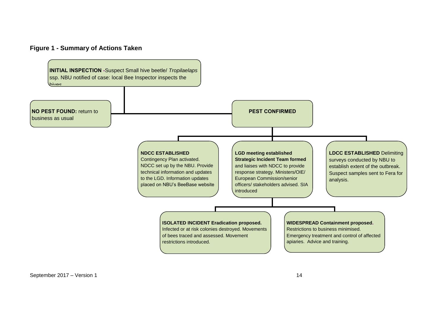#### **Figure 1 - Summary of Actions Taken**



<span id="page-17-0"></span>September 2017 – Version 1 14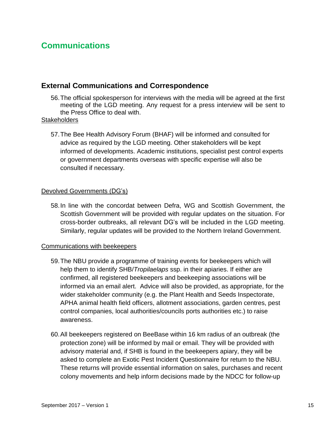## <span id="page-18-0"></span>**Communications**

### **External Communications and Correspondence**

56.The official spokesperson for interviews with the media will be agreed at the first meeting of the LGD meeting. Any request for a press interview will be sent to the Press Office to deal with.

#### **Stakeholders**

57.The Bee Health Advisory Forum (BHAF) will be informed and consulted for advice as required by the LGD meeting. Other stakeholders will be kept informed of developments. Academic institutions, specialist pest control experts or government departments overseas with specific expertise will also be consulted if necessary.

#### Devolved Governments (DG's)

58.In line with the concordat between Defra, WG and Scottish Government, the Scottish Government will be provided with regular updates on the situation. For cross-border outbreaks, all relevant DG's will be included in the LGD meeting. Similarly, regular updates will be provided to the Northern Ireland Government.

#### Communications with beekeepers

- 59.The NBU provide a programme of training events for beekeepers which will help them to identify SHB/*Tropilaelaps* ssp. in their apiaries. If either are confirmed, all registered beekeepers and beekeeping associations will be informed via an email alert. Advice will also be provided, as appropriate, for the wider stakeholder community (e.g. the Plant Health and Seeds Inspectorate, APHA animal health field officers, allotment associations, garden centres, pest control companies, local authorities/councils ports authorities etc.) to raise awareness.
- 60.All beekeepers registered on BeeBase within 16 km radius of an outbreak (the protection zone) will be informed by mail or email. They will be provided with advisory material and, if SHB is found in the beekeepers apiary, they will be asked to complete an Exotic Pest Incident Questionnaire for return to the NBU. These returns will provide essential information on sales, purchases and recent colony movements and help inform decisions made by the NDCC for follow-up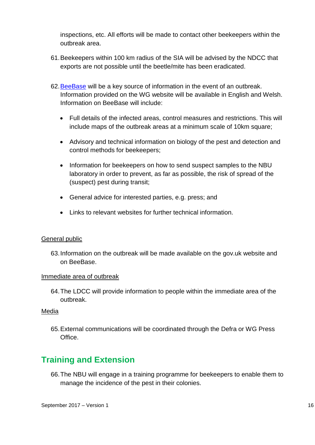inspections, etc. All efforts will be made to contact other beekeepers within the outbreak area.

- 61.Beekeepers within 100 km radius of the SIA will be advised by the NDCC that exports are not possible until the beetle/mite has been eradicated.
- 62[.BeeBase](http://www.nationalbeeunit.com/index.cfm) will be a key source of information in the event of an outbreak. Information provided on the WG website will be available in English and Welsh. Information on BeeBase will include:
	- Full details of the infected areas, control measures and restrictions. This will include maps of the outbreak areas at a minimum scale of 10km square;
	- Advisory and technical information on biology of the pest and detection and control methods for beekeepers;
	- Information for beekeepers on how to send suspect samples to the NBU laboratory in order to prevent, as far as possible, the risk of spread of the (suspect) pest during transit;
	- General advice for interested parties, e.g. press; and
	- Links to relevant websites for further technical information.

#### General public

63.Information on the outbreak will be made available on the gov.uk website and on BeeBase.

#### Immediate area of outbreak

64.The LDCC will provide information to people within the immediate area of the outbreak.

#### Media

65.External communications will be coordinated through the Defra or WG Press Office.

# <span id="page-19-0"></span>**Training and Extension**

66.The NBU will engage in a training programme for beekeepers to enable them to manage the incidence of the pest in their colonies.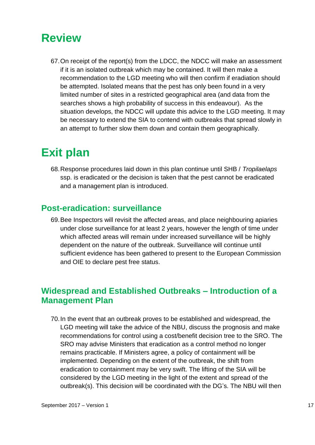# <span id="page-20-0"></span>**Review**

67.On receipt of the report(s) from the LDCC, the NDCC will make an assessment if it is an isolated outbreak which may be contained. It will then make a recommendation to the LGD meeting who will then confirm if eradiation should be attempted. Isolated means that the pest has only been found in a very limited number of sites in a restricted geographical area (and data from the searches shows a high probability of success in this endeavour). As the situation develops, the NDCC will update this advice to the LGD meeting. It may be necessary to extend the SIA to contend with outbreaks that spread slowly in an attempt to further slow them down and contain them geographically.

# <span id="page-20-1"></span>**Exit plan**

68.Response procedures laid down in this plan continue until SHB / *Tropilaelaps* ssp. is eradicated or the decision is taken that the pest cannot be eradicated and a management plan is introduced.

## <span id="page-20-2"></span>**Post-eradication: surveillance**

69.Bee Inspectors will revisit the affected areas, and place neighbouring apiaries under close surveillance for at least 2 years, however the length of time under which affected areas will remain under increased surveillance will be highly dependent on the nature of the outbreak. Surveillance will continue until sufficient evidence has been gathered to present to the European Commission and OIE to declare pest free status.

# <span id="page-20-3"></span>**Widespread and Established Outbreaks – Introduction of a Management Plan**

70.In the event that an outbreak proves to be established and widespread, the LGD meeting will take the advice of the NBU, discuss the prognosis and make recommendations for control using a cost/benefit decision tree to the SRO. The SRO may advise Ministers that eradication as a control method no longer remains practicable. If Ministers agree, a policy of containment will be implemented. Depending on the extent of the outbreak, the shift from eradication to containment may be very swift. The lifting of the SIA will be considered by the LGD meeting in the light of the extent and spread of the outbreak(s). This decision will be coordinated with the DG's. The NBU will then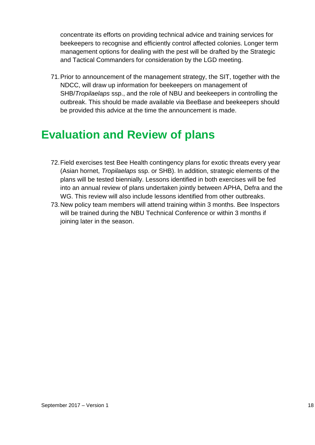concentrate its efforts on providing technical advice and training services for beekeepers to recognise and efficiently control affected colonies. Longer term management options for dealing with the pest will be drafted by the Strategic and Tactical Commanders for consideration by the LGD meeting.

71.Prior to announcement of the management strategy, the SIT, together with the NDCC, will draw up information for beekeepers on management of SHB/*Tropilaelaps* ssp., and the role of NBU and beekeepers in controlling the outbreak. This should be made available via BeeBase and beekeepers should be provided this advice at the time the announcement is made.

# <span id="page-21-0"></span>**Evaluation and Review of plans**

- 72.Field exercises test Bee Health contingency plans for exotic threats every year (Asian hornet, *Tropilaelaps* ssp. or SHB). In addition, strategic elements of the plans will be tested biennially. Lessons identified in both exercises will be fed into an annual review of plans undertaken jointly between APHA, Defra and the WG. This review will also include lessons identified from other outbreaks.
- 73.New policy team members will attend training within 3 months. Bee Inspectors will be trained during the NBU Technical Conference or within 3 months if joining later in the season.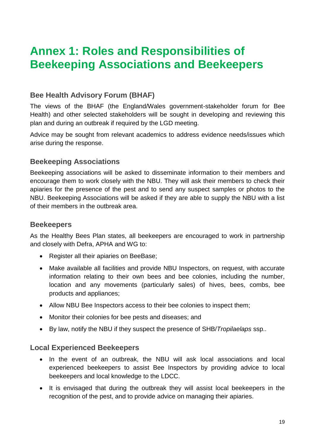# <span id="page-22-0"></span>**Annex 1: Roles and Responsibilities of Beekeeping Associations and Beekeepers**

## **Bee Health Advisory Forum (BHAF)**

The views of the BHAF (the England/Wales government-stakeholder forum for Bee Health) and other selected stakeholders will be sought in developing and reviewing this plan and during an outbreak if required by the LGD meeting.

Advice may be sought from relevant academics to address evidence needs/issues which arise during the response.

## **Beekeeping Associations**

Beekeeping associations will be asked to disseminate information to their members and encourage them to work closely with the NBU. They will ask their members to check their apiaries for the presence of the pest and to send any suspect samples or photos to the NBU. Beekeeping Associations will be asked if they are able to supply the NBU with a list of their members in the outbreak area.

### **Beekeepers**

As the Healthy Bees Plan states, all beekeepers are encouraged to work in partnership and closely with Defra, APHA and WG to:

- Register all their apiaries on BeeBase;
- Make available all facilities and provide NBU Inspectors, on request, with accurate information relating to their own bees and bee colonies, including the number, location and any movements (particularly sales) of hives, bees, combs, bee products and appliances;
- Allow NBU Bee Inspectors access to their bee colonies to inspect them;
- Monitor their colonies for bee pests and diseases; and
- By law, notify the NBU if they suspect the presence of SHB/*Tropilaelaps* ssp..

## **Local Experienced Beekeepers**

- In the event of an outbreak, the NBU will ask local associations and local experienced beekeepers to assist Bee Inspectors by providing advice to local beekeepers and local knowledge to the LDCC.
- It is envisaged that during the outbreak they will assist local beekeepers in the recognition of the pest, and to provide advice on managing their apiaries.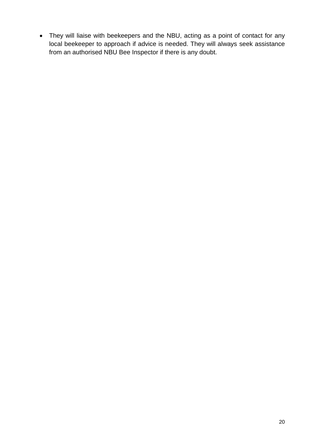They will liaise with beekeepers and the NBU, acting as a point of contact for any local beekeeper to approach if advice is needed. They will always seek assistance from an authorised NBU Bee Inspector if there is any doubt.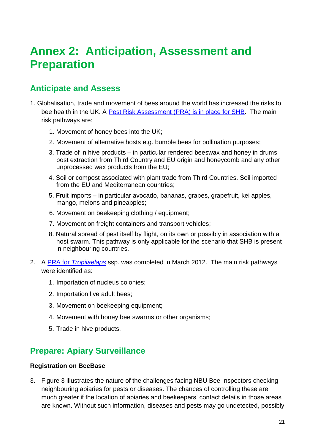# <span id="page-24-0"></span>**Annex 2: Anticipation, Assessment and Preparation**

# <span id="page-24-1"></span>**Anticipate and Assess**

- 1. Globalisation, trade and movement of bees around the world has increased the risks to bee health in the UK. A [Pest Risk Assessment \(PRA\) is in place for SHB.](http://www.nationalbeeunit.com/downloadDocument.cfm?id=945) The main risk pathways are:
	- 1. Movement of honey bees into the UK;
	- 2. Movement of alternative hosts e.g. bumble bees for pollination purposes;
	- 3. Trade of in hive products in particular rendered beeswax and honey in drums post extraction from Third Country and EU origin and honeycomb and any other unprocessed wax products from the EU;
	- 4. Soil or compost associated with plant trade from Third Countries. Soil imported from the EU and Mediterranean countries;
	- 5. Fruit imports in particular avocado, bananas, grapes, grapefruit, kei apples, mango, melons and pineapples;
	- 6. Movement on beekeeping clothing / equipment;
	- 7. Movement on freight containers and transport vehicles;
	- 8. Natural spread of pest itself by flight, on its own or possibly in association with a host swarm. This pathway is only applicable for the scenario that SHB is present in neighbouring countries.
- 2. A PRA for *[Tropilaelaps](http://www.nationalbeeunit.com/downloadDocument.cfm?id=905)* ssp. was completed in March 2012. The main risk pathways were identified as:
	- 1. Importation of nucleus colonies;
	- 2. Importation live adult bees;
	- 3. Movement on beekeeping equipment;
	- 4. Movement with honey bee swarms or other organisms;
	- 5. Trade in hive products.

## <span id="page-24-2"></span>**Prepare: Apiary Surveillance**

#### **Registration on BeeBase**

3. Figure 3 illustrates the nature of the challenges facing NBU Bee Inspectors checking neighbouring apiaries for pests or diseases. The chances of controlling these are much greater if the location of apiaries and beekeepers' contact details in those areas are known. Without such information, diseases and pests may go undetected, possibly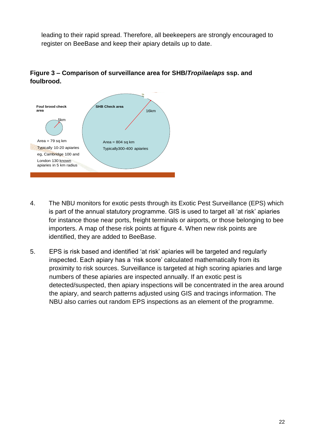leading to their rapid spread. Therefore, all beekeepers are strongly encouraged to register on BeeBase and keep their apiary details up to date.



### **Figure 3 – Comparison of surveillance area for SHB/***Tropilaelaps* **ssp. and foulbrood.**

- 4. The NBU monitors for exotic pests through its Exotic Pest Surveillance (EPS) which is part of the annual statutory programme. GIS is used to target all 'at risk' apiaries for instance those near ports, freight terminals or airports, or those belonging to bee importers. A map of these risk points at figure 4. When new risk points are identified, they are added to BeeBase.
- 5. EPS is risk based and identified 'at risk' apiaries will be targeted and regularly inspected. Each apiary has a 'risk score' calculated mathematically from its proximity to risk sources. Surveillance is targeted at high scoring apiaries and large numbers of these apiaries are inspected annually. If an exotic pest is detected/suspected, then apiary inspections will be concentrated in the area around the apiary, and search patterns adjusted using GIS and tracings information. The NBU also carries out random EPS inspections as an element of the programme.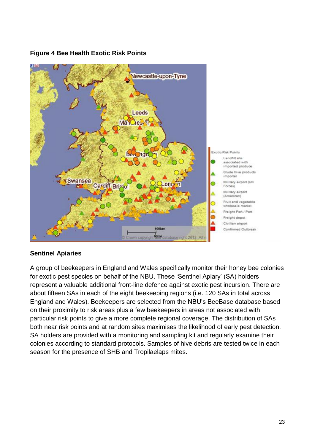

#### **Figure 4 Bee Health Exotic Risk Points**

### **Sentinel Apiaries**

<span id="page-26-0"></span>A group of beekeepers in England and Wales specifically monitor their honey bee colonies for exotic pest species on behalf of the NBU. These 'Sentinel Apiary' (SA) holders represent a valuable additional front-line defence against exotic pest incursion. There are about fifteen SAs in each of the eight beekeeping regions (i.e. 120 SAs in total across England and Wales). Beekeepers are selected from the NBU's BeeBase database based on their proximity to risk areas plus a few beekeepers in areas not associated with particular risk points to give a more complete regional coverage. The distribution of SAs both near risk points and at random sites maximises the likelihood of early pest detection. SA holders are provided with a monitoring and sampling kit and regularly examine their colonies according to standard protocols. Samples of hive debris are tested twice in each season for the presence of SHB and Tropilaelaps mites.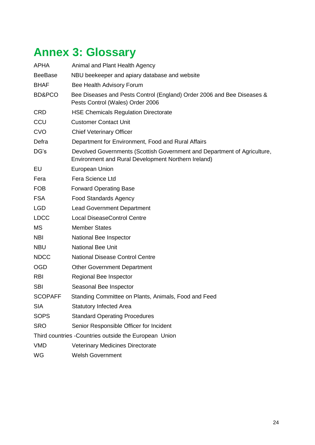# <span id="page-27-0"></span>**Annex 3: Glossary**

| <b>APHA</b>                                            | Animal and Plant Health Agency                                                                                                  |  |  |  |
|--------------------------------------------------------|---------------------------------------------------------------------------------------------------------------------------------|--|--|--|
| <b>BeeBase</b>                                         | NBU beekeeper and apiary database and website                                                                                   |  |  |  |
| <b>BHAF</b>                                            | Bee Health Advisory Forum                                                                                                       |  |  |  |
| BD&PCO                                                 | Bee Diseases and Pests Control (England) Order 2006 and Bee Diseases &<br>Pests Control (Wales) Order 2006                      |  |  |  |
| <b>CRD</b>                                             | <b>HSE Chemicals Regulation Directorate</b>                                                                                     |  |  |  |
| CCU                                                    | <b>Customer Contact Unit</b>                                                                                                    |  |  |  |
| <b>CVO</b>                                             | <b>Chief Veterinary Officer</b>                                                                                                 |  |  |  |
| Defra                                                  | Department for Environment, Food and Rural Affairs                                                                              |  |  |  |
| DG's                                                   | Devolved Governments (Scottish Government and Department of Agriculture,<br>Environment and Rural Development Northern Ireland) |  |  |  |
| EU                                                     | <b>European Union</b>                                                                                                           |  |  |  |
| Fera                                                   | Fera Science Ltd                                                                                                                |  |  |  |
| <b>FOB</b>                                             | <b>Forward Operating Base</b>                                                                                                   |  |  |  |
| <b>FSA</b>                                             | <b>Food Standards Agency</b>                                                                                                    |  |  |  |
| <b>LGD</b>                                             | <b>Lead Government Department</b>                                                                                               |  |  |  |
| <b>LDCC</b>                                            | <b>Local DiseaseControl Centre</b>                                                                                              |  |  |  |
| MS                                                     | <b>Member States</b>                                                                                                            |  |  |  |
| <b>NBI</b>                                             | National Bee Inspector                                                                                                          |  |  |  |
| <b>NBU</b>                                             | <b>National Bee Unit</b>                                                                                                        |  |  |  |
| <b>NDCC</b>                                            | <b>National Disease Control Centre</b>                                                                                          |  |  |  |
| <b>OGD</b>                                             | <b>Other Government Department</b>                                                                                              |  |  |  |
| <b>RBI</b>                                             | Regional Bee Inspector                                                                                                          |  |  |  |
| <b>SBI</b>                                             | Seasonal Bee Inspector                                                                                                          |  |  |  |
| <b>SCOPAFF</b>                                         | Standing Committee on Plants, Animals, Food and Feed                                                                            |  |  |  |
| <b>SIA</b>                                             | <b>Statutory Infected Area</b>                                                                                                  |  |  |  |
| <b>SOPS</b>                                            | <b>Standard Operating Procedures</b>                                                                                            |  |  |  |
| <b>SRO</b>                                             | Senior Responsible Officer for Incident                                                                                         |  |  |  |
| Third countries - Countries outside the European Union |                                                                                                                                 |  |  |  |
| <b>VMD</b>                                             | Veterinary Medicines Directorate                                                                                                |  |  |  |
| WG                                                     | <b>Welsh Government</b>                                                                                                         |  |  |  |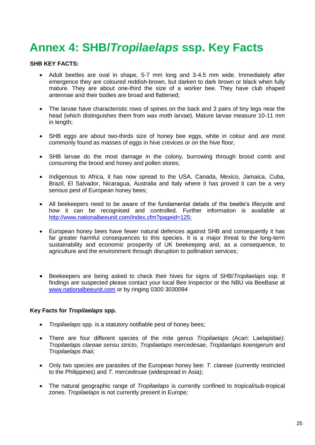# <span id="page-28-0"></span>**Annex 4: SHB/***Tropilaelaps* **ssp. Key Facts**

#### **SHB KEY FACTS:**

- Adult beetles are oval in shape, 5-7 mm long and 3-4.5 mm wide. Immediately after emergence they are coloured reddish-brown, but darken to dark brown or black when fully mature. They are about one-third the size of a worker bee. They have club shaped antennae and their bodies are broad and flattened;
- The larvae have characteristic rows of spines on the back and 3 pairs of tiny legs near the head (which distinguishes them from wax moth larvae). Mature larvae measure 10-11 mm in length;
- SHB eggs are about two-thirds size of honey bee eggs, white in colour and are most commonly found as masses of eggs in hive crevices or on the hive floor;
- SHB larvae do the most damage in the colony, burrowing through brood comb and consuming the brood and honey and pollen stores;
- Indigenous to Africa, it has now spread to the USA, Canada, Mexico, Jamaica, Cuba, Brazil, El Salvador, Nicaragua, Australia and Italy where it has proved it can be a very serious pest of European honey bees;
- All beekeepers need to be aware of the fundamental details of the beetle's lifecycle and how it can be recognised and controlled. Further information is available at [http://www.nationalbeeunit.com/index.cfm?pageid=125;](http://www.nationalbeeunit.com/index.cfm?pageid=125)
- European honey bees have fewer natural defences against SHB and consequently it has far greater harmful consequences to this species. It is a major threat to the long-term sustainability and economic prosperity of UK beekeeping and, as a consequence, to agriculture and the environment through disruption to pollination services;
- Beekeepers are being asked to check their hives for signs of SHB/*Tropilaelaps* ssp. If findings are suspected please contact your local Bee Inspector or the NBU via BeeBase at [www.nationalbeeunit.com](http://www.nationalbeeunit.com/) or by ringing 0300 3030094

#### **Key Facts for** *Tropilaelaps* **spp.**

- *Tropilaelaps* spp. is a statutory notifiable pest of honey bees;
- There are four different species of the mite genus *Tropilaelaps* (Acari: Laelapidae): *Tropilaelaps clareae sensu stricto*, *Tropilaelaps mercedesae*, *Tropilaelaps koenigerum* and *Tropilaelaps thaii;*
- Only two species are parasites of the European honey bee: *T. clareae* (currently restricted to the Philippines) and *T. mercedesae* (widespread in Asia);
- The natural geographic range of *Tropilaelaps* is currently confined to tropical/sub-tropical zones. *Tropilaelaps* is not currently present in Europe;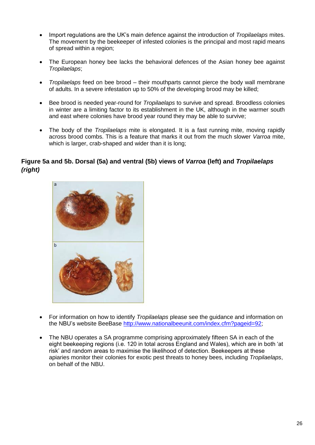- Import regulations are the UK's main defence against the introduction of *Tropilaelaps* mites. The movement by the beekeeper of infested colonies is the principal and most rapid means of spread within a region;
- The European honey bee lacks the behavioral defences of the Asian honey bee against *Tropilaelaps*;
- *Tropilaelaps* feed on bee brood their mouthparts cannot pierce the body wall membrane of adults. In a severe infestation up to 50% of the developing brood may be killed;
- Bee brood is needed year-round for *Tropilaelaps* to survive and spread. Broodless colonies in winter are a limiting factor to its establishment in the UK, although in the warmer south and east where colonies have brood year round they may be able to survive;
- The body of the *Tropilaelaps* mite is elongated. It is a fast running mite, moving rapidly across brood combs. This is a feature that marks it out from the much slower *Varroa* mite, which is larger, crab-shaped and wider than it is long;

### **Figure 5a and 5b. Dorsal (5a) and ventral (5b) views of** *Varroa* **(left) and** *Tropilaelaps (right)*



- For information on how to identify *Tropilaelaps* please see the guidance and information on the NBU's website BeeBase [http://www.nationalbeeunit.com/index.cfm?pageid=92;](http://www.nationalbeeunit.com/index.cfm?pageid=92)
- The NBU operates a SA programme comprising approximately fifteen SA in each of the eight beekeeping regions (i.e. 120 in total across England and Wales), which are in both 'at risk' and random areas to maximise the likelihood of detection. Beekeepers at these apiaries monitor their colonies for exotic pest threats to honey bees, including *Tropilaelaps*, on behalf of the NBU.